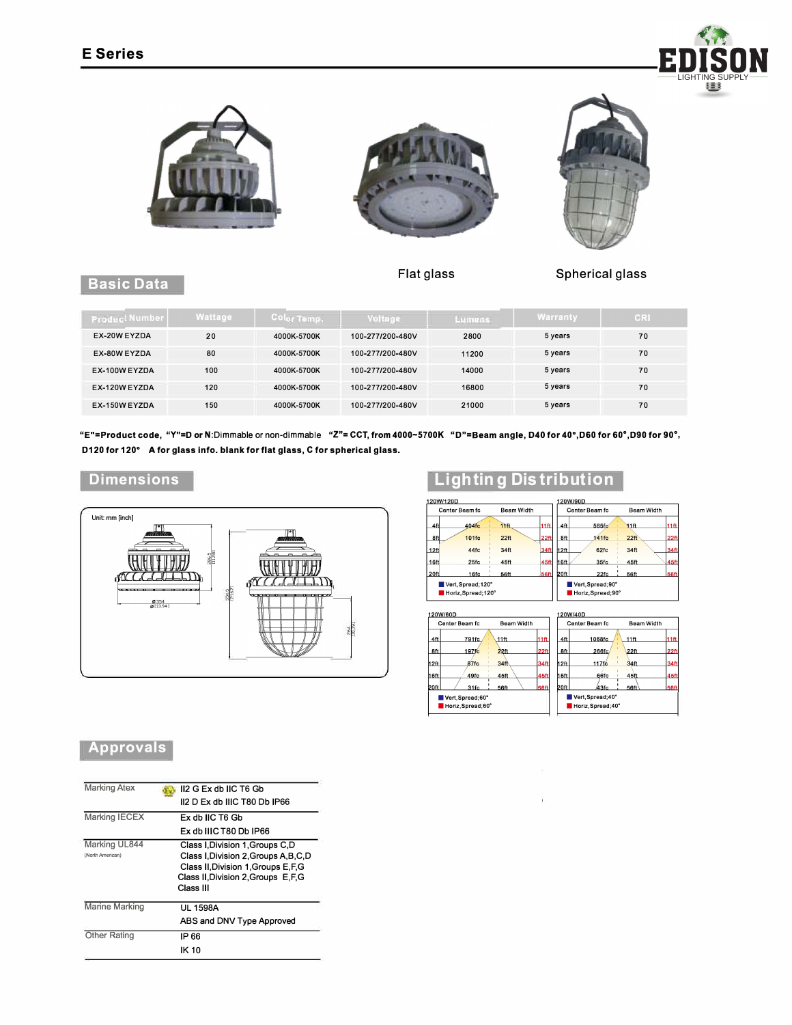





**Flat glass** 



## **Basic Data**

**Spherical glass** 

| <b>Product Number</b> | Wattage | Color Temp. | <b>Voltage</b>   | Lumens | Warranty | CR |
|-----------------------|---------|-------------|------------------|--------|----------|----|
| EX-20W EYZDA          | 20      | 4000K-5700K | 100-277/200-480V | 2800   | 5 years  | 70 |
| EX-80W EYZDA          | 80      | 4000K-5700K | 100-277/200-480V | 11200  | 5 years  | 70 |
| EX-100W EYZDA         | 100     | 4000K-5700K | 100-277/200-480V | 14000  | 5 years  | 70 |
| EX-120W EYZDA         | 120     | 4000K-5700K | 100-277/200-480V | 16800  | 5 years  | 70 |
| EX-150W EYZDA         | 150     | 4000K-5700K | 100-277/200-480V | 21000  | 5 years  | 70 |

**"E"=Product code, "Y"=D or** N:Dimmable or non-dimmable **"Z"= CCT, from 4000-5700K "D"=Beam angle, D40 for 40° ,D60 for 60° ,D90 for 90° , D120 for 120° A for glass info. blank for flat glass, C for spherical glass.** 

## **Dimensions**



## **Approvals**

| <b>Marking Atex</b>               | II2 G Ex db IIC T6 Gb                                                                                                                                                   |
|-----------------------------------|-------------------------------------------------------------------------------------------------------------------------------------------------------------------------|
|                                   | II2 D Fx db IIIC T80 Db IP66                                                                                                                                            |
| Marking IECEX                     | Ex db IIC T6 Gb                                                                                                                                                         |
|                                   | Ex db IIIC T80 Db IP66                                                                                                                                                  |
| Marking UL844<br>(North American) | Class I, Division 1, Groups C, D<br>Class I, Division 2, Groups A, B, C, D<br>Class II, Division 1, Groups E, F, G<br>Class II, Division 2, Groups E, F, G<br>Class III |
| Marine Marking                    | UI 1598A<br>ABS and DNV Type Approved                                                                                                                                   |
| <b>Other Rating</b>               | IP 66                                                                                                                                                                   |
|                                   | IK 10                                                                                                                                                                   |

## **Lighting Distribution**

| 120W/120D        |                                         |                   |                  |                | 120W/90D                              |                   |             |
|------------------|-----------------------------------------|-------------------|------------------|----------------|---------------------------------------|-------------------|-------------|
| Center Beam fc   |                                         | <b>Beam Width</b> |                  | Center Beam fc |                                       | <b>Beam Width</b> |             |
| 4ft              | 404fc                                   | 11 <sub>ft</sub>  | 11 <sub>ft</sub> | 4ft            | 565fc                                 | 11 <sub>ft</sub>  | 11ff        |
| 8ft              | 101fc                                   | 22 <sup>ft</sup>  | 22 <sub>ft</sub> | 8ft            | 141fc                                 | 22 <sup>ft</sup>  | 22ft        |
| 12 <sub>ft</sub> | 44fc                                    | 34ft              | 34ft             | h2ft           | 62fc                                  | 34ft              | 34ft        |
| 16 <sub>ft</sub> | 25fc                                    | 45ft              | 45ft             | 16ft           | 35fc                                  | 45ft              | 45ft        |
| 20ft             | 16fc                                    | 56ft              | <b>56ft</b>      | 20ft           | 22fc                                  | 56ft              | <b>56ft</b> |
|                  | Vert, Spread; 120°<br>Horiz.Spread:120° |                   |                  |                | Vert, Spread; 90°<br>Horiz.Spread:90° |                   |             |

| 120W/60D                               |                  |             |                                       |        |                            |                  |
|----------------------------------------|------------------|-------------|---------------------------------------|--------|----------------------------|------------------|
| Center Beam fc                         | Beam Width       |             |                                       |        | Beam Width                 |                  |
| 791fc                                  | $11$ ft          | 11ft        | 4ft                                   | 1068fc | 11 <sub>ft</sub>           | $11$ ft          |
| 197f <sub>C</sub>                      | 22 <sub>ft</sub> | 22ft        | 8ft                                   | 266fc  | 22ft                       | 22 <sub>ft</sub> |
| 87fc                                   | 34ft             | 34ft        | h2ft                                  | 117fc  | 34ft                       | 34ft             |
| 49fc                                   | 45ft             | 45ft        | 16ft                                  | 66fc   | 45ft                       | 45ft             |
| 31fc                                   | 56ft             | <b>56ft</b> | 20ft                                  | 43fc   | 56ff                       | <b>56ft</b>      |
| Vert, Spread; 60°<br>Horiz, Spread;60° |                  |             | Vert.Spread:40°<br>Horiz, Spread; 40° |        |                            |                  |
|                                        |                  |             |                                       |        | 120W/40D<br>Center Beam fc |                  |